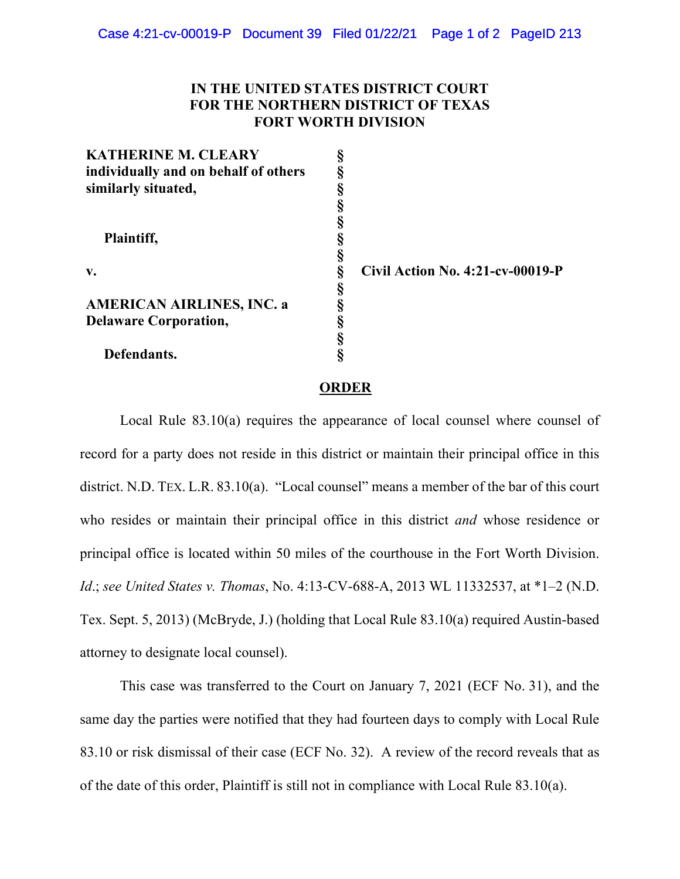## **IN THE UNITED STATES DISTRICT COURT FOR THE NORTHERN DISTRICT OF TEXAS FORT WORTH DIVISION**

| <b>KATHERINE M. CLEARY</b>           |   |
|--------------------------------------|---|
| individually and on behalf of others | § |
| similarly situated,                  | § |
|                                      | § |
|                                      | § |
| Plaintiff,                           | § |
|                                      | § |
| v.                                   | § |
|                                      | § |
| <b>AMERICAN AIRLINES, INC. a</b>     | § |
| <b>Delaware Corporation,</b>         | § |
|                                      | § |
| Defendants.                          |   |

**v. § Civil Action No. 4:21-cv-00019-P**

## **ORDER**

Local Rule 83.10(a) requires the appearance of local counsel where counsel of record for a party does not reside in this district or maintain their principal office in this district. N.D. TEX. L.R. 83.10(a). "Local counsel" means a member of the bar of this court who resides or maintain their principal office in this district *and* whose residence or principal office is located within 50 miles of the courthouse in the Fort Worth Division. *Id*.; *see United States v. Thomas*, No. 4:13-CV-688-A, 2013 WL 11332537, at \*1–2 (N.D. Tex. Sept. 5, 2013) (McBryde, J.) (holding that Local Rule 83.10(a) required Austin-based attorney to designate local counsel).

This case was transferred to the Court on January 7, 2021 (ECF No. 31), and the same day the parties were notified that they had fourteen days to comply with Local Rule 83.10 or risk dismissal of their case (ECF No. 32). A review of the record reveals that as of the date of this order, Plaintiff is still not in compliance with Local Rule 83.10(a).